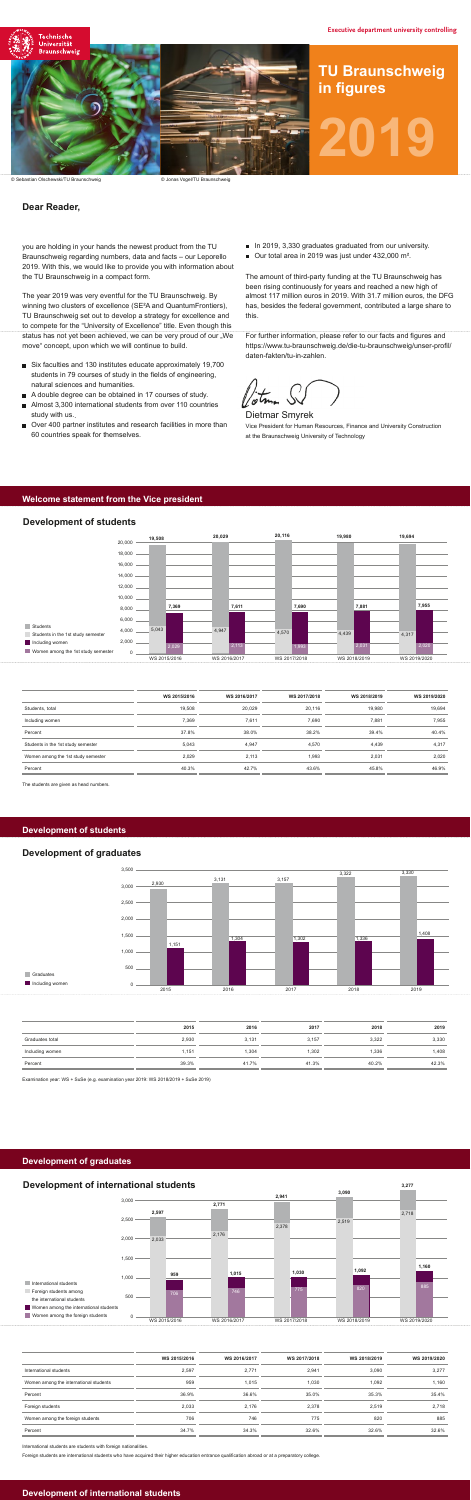#### **Welcome statement from the Vice president**

#### **Development of graduates**

### **Development of students**

|                                    | WS 2015/2016 | WS 2016/2017 | WS 2017/2018 | WS 2018/2019 | WS 2019/2020 |
|------------------------------------|--------------|--------------|--------------|--------------|--------------|
| Students, total                    | 19,508       | 20.029       | 20,116       | 19,980       | 19,694       |
| Including women                    | 7,369        | 7,611        | 7,690        | 7,881        | 7,955        |
| Percent                            | 37.8%        | 38.0%        | 38.2%        | 39.4%        | 40.4%        |
| Students in the 1st study semester | 5.043        | 4.947        | 4,570        | 4,439        | 4,317        |
| Women among the 1st study semester | 2,029        | 2,113        | 1,993        | 2,031        | 2,020        |
| Percent                            | 40.3%        | 42.7%        | 43.6%        | 45.8%        | 46.9%        |

The students are given as head numbers.

#### **Development of students**

|                 | 2015  | 2016  | 2017  | 2018  | 2019  |
|-----------------|-------|-------|-------|-------|-------|
| Graduates total | 2,930 | 3,131 | 3,157 | 3,322 | 3,330 |
| Including women | 151،، | 304،  | 1,302 | 1,336 | .408  |
| Percent         | 39.3% | 41.7% | 41.3% | 40.2% | 42.3% |



Examination year: WS + SuSe (e.g. examination year 2019: WS 2018/2019 + SuSe 2019)

# **Development of graduates**



© Sebastian Olschewski/TU Braunschweig

**Development of international students**

|                                        | WS 2015/2016 | WS 2016/2017 | WS 2017/2018 | WS 2018/2019 | WS 2019/2020 |
|----------------------------------------|--------------|--------------|--------------|--------------|--------------|
| International students                 | 2.597        | 2.771        | 2.941        | 3.090        | 3,277        |
| Women among the international students | 959          | 1.015        | 1,030        | 1.092        | 1,160        |
| Percent                                | 36.9%        | 36.6%        | 35.0%        | 35.3%        | 35.4%        |
| Foreign students                       | 2,033        | 2.176        | 2.378        | 2.519        | 2,718        |
| Women among the foreign students       | 706          | 746          | 775          | 820          | 885          |
| Percent                                | 34.7%        | 34.3%        | 32.6%        | 32.6%        | 32.6%        |

International students are students with foreign nationalities.

Foreign students are international students who have acquired their higher education entrance qualification abroad or at a preparatory college



- Six faculties and 130 institutes educate approximately 19,700 students in 79 courses of study in the fields of engineering, natural sciences and humanities.
- A double degree can be obtained in 17 courses of study.
- Almost 3,300 international students from over 110 countries study with us..
- Over 400 partner institutes and research facilities in more than 60 countries speak for themselves.
- In 2019, 3,330 graduates graduated from our university.
- Our total area in 2019 was just under 432,000 m<sup>2</sup>.

For further information, please refer to our facts and figures and https://www.tu-braunschweig.de/die-tu-braunschweig/unser-profil/ daten-fakten/tu-in-zahlen.

© Jonas Vogel/TU Braunschweig

# **Dear Reader,**

you are holding in your hands the newest product from the TU Braunschweig regarding numbers, data and facts – our Leporello 2019. With this, we would like to provide you with information about the TU Braunschweig in a compact form.

The year 2019 was very eventful for the TU Braunschweig. By winning two clusters of excellence (SE²A and QuantumFrontiers), TU Braunschweig set out to develop a strategy for excellence and to compete for the "University of Excellence" title. Even though this status has not yet been achieved, we can be very proud of our "We move" concept, upon which we will continue to build.



The amount of third-party funding at the TU Braunschweig has been rising continuously for years and reached a new high of almost 117 million euros in 2019. With 31.7 million euros, the DFG has, besides the federal government, contributed a large share to this.

Dietmar Smyrek Vice President for Human Resources, Finance and University Construction at the Braunschweig University of Technology